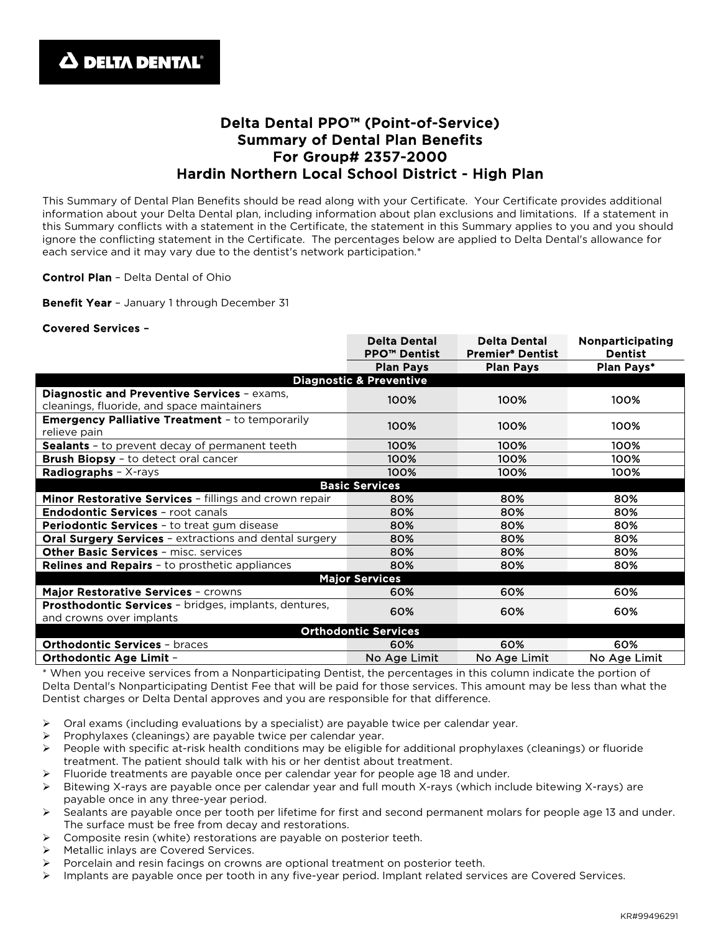## Delta Dental PPO™ (Point-of-Service) Summary of Dental Plan Benefits For Group# 2357-2000 Hardin Northern Local School District - High Plan

This Summary of Dental Plan Benefits should be read along with your Certificate. Your Certificate provides additional information about your Delta Dental plan, including information about plan exclusions and limitations. If a statement in this Summary conflicts with a statement in the Certificate, the statement in this Summary applies to you and you should ignore the conflicting statement in the Certificate. The percentages below are applied to Delta Dental's allowance for each service and it may vary due to the dentist's network participation.\*

Control Plan – Delta Dental of Ohio

Benefit Year - January 1 through December 31

## Covered Services –

|                                                                                           | <b>Delta Dental</b><br><b>PPO™ Dentist</b> | <b>Delta Dental</b><br><b>Premier® Dentist</b> | Nonparticipating<br><b>Dentist</b> |
|-------------------------------------------------------------------------------------------|--------------------------------------------|------------------------------------------------|------------------------------------|
|                                                                                           | <b>Plan Pays</b>                           | <b>Plan Pays</b>                               | Plan Pays*                         |
| <b>Diagnostic &amp; Preventive</b>                                                        |                                            |                                                |                                    |
| Diagnostic and Preventive Services - exams,<br>cleanings, fluoride, and space maintainers | 100%                                       | 100%                                           | 100%                               |
| <b>Emergency Palliative Treatment - to temporarily</b><br>relieve pain                    | 100%                                       | 100%                                           | 100%                               |
| <b>Sealants</b> - to prevent decay of permanent teeth                                     | 100%                                       | 100%                                           | 100%                               |
| <b>Brush Biopsy</b> - to detect oral cancer                                               | 100%                                       | 100%                                           | 100%                               |
| <b>Radiographs</b> - $X$ -rays                                                            | 100%                                       | 100%                                           | 100%                               |
| <b>Basic Services</b>                                                                     |                                            |                                                |                                    |
| Minor Restorative Services - fillings and crown repair                                    | 80%                                        | 80%                                            | 80%                                |
| <b>Endodontic Services - root canals</b>                                                  | 80%                                        | 80%                                            | 80%                                |
| <b>Periodontic Services - to treat gum disease</b>                                        | 80%                                        | 80%                                            | 80%                                |
| <b>Oral Surgery Services - extractions and dental surgery</b>                             | 80%                                        | 80%                                            | 80%                                |
| <b>Other Basic Services - misc. services</b>                                              | 80%                                        | 80%                                            | 80%                                |
| <b>Relines and Repairs - to prosthetic appliances</b>                                     | 80%                                        | 80%                                            | 80%                                |
| <b>Major Services</b>                                                                     |                                            |                                                |                                    |
| Major Restorative Services - crowns                                                       | 60%                                        | 60%                                            | 60%                                |
| Prosthodontic Services - bridges, implants, dentures,<br>and crowns over implants         | 60%                                        | 60%                                            | 60%                                |
| <b>Orthodontic Services</b>                                                               |                                            |                                                |                                    |
| <b>Orthodontic Services - braces</b>                                                      | 60%                                        | 60%                                            | 60%                                |
| <b>Orthodontic Age Limit -</b>                                                            | No Age Limit                               | No Age Limit                                   | No Age Limit                       |

\* When you receive services from a Nonparticipating Dentist, the percentages in this column indicate the portion of Delta Dental's Nonparticipating Dentist Fee that will be paid for those services. This amount may be less than what the Dentist charges or Delta Dental approves and you are responsible for that difference.

- $\triangleright$  Oral exams (including evaluations by a specialist) are payable twice per calendar year.
- Prophylaxes (cleanings) are payable twice per calendar year.
- $\triangleright$  People with specific at-risk health conditions may be eligible for additional prophylaxes (cleanings) or fluoride treatment. The patient should talk with his or her dentist about treatment.
- Fluoride treatments are payable once per calendar year for people age 18 and under.
- Bitewing X-rays are payable once per calendar year and full mouth X-rays (which include bitewing X-rays) are payable once in any three-year period.
- $\triangleright$  Sealants are payable once per tooth per lifetime for first and second permanent molars for people age 13 and under. The surface must be free from decay and restorations.
- Composite resin (white) restorations are payable on posterior teeth.
- Metallic inlays are Covered Services.
- Porcelain and resin facings on crowns are optional treatment on posterior teeth.
- $\triangleright$  Implants are payable once per tooth in any five-year period. Implant related services are Covered Services.